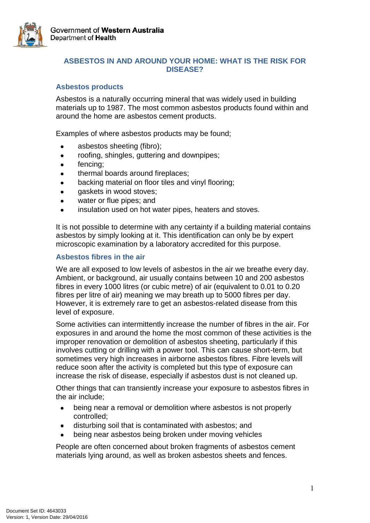

# **ASBESTOS IN AND AROUND YOUR HOME: WHAT IS THE RISK FOR DISEASE?**

### **Asbestos products**

Asbestos is a naturally occurring mineral that was widely used in building materials up to 1987. The most common asbestos products found within and around the home are asbestos cement products.

Examples of where asbestos products may be found;

- asbestos sheeting (fibro);
- roofing, shingles, guttering and downpipes;
- fencing;  $\bullet$
- thermal boards around fireplaces;
- backing material on floor tiles and vinyl flooring;
- gaskets in wood stoves;
- water or flue pipes; and
- insulation used on hot water pipes, heaters and stoves.

It is not possible to determine with any certainty if a building material contains asbestos by simply looking at it. This identification can only be by expert microscopic examination by a laboratory accredited for this purpose.

#### **Asbestos fibres in the air**

We are all exposed to low levels of asbestos in the air we breathe every day. Ambient, or background, air usually contains between 10 and 200 asbestos fibres in every 1000 litres (or cubic metre) of air (equivalent to 0.01 to 0.20 fibres per litre of air) meaning we may breath up to 5000 fibres per day. However, it is extremely rare to get an asbestos-related disease from this level of exposure.

Some activities can intermittently increase the number of fibres in the air. For exposures in and around the home the most common of these activities is the improper renovation or demolition of asbestos sheeting, particularly if this involves cutting or drilling with a power tool. This can cause short-term, but sometimes very high increases in airborne asbestos fibres. Fibre levels will reduce soon after the activity is completed but this type of exposure can increase the risk of disease, especially if asbestos dust is not cleaned up.

Other things that can transiently increase your exposure to asbestos fibres in the air include;

- $\bullet$ being near a removal or demolition where asbestos is not properly controlled;
- disturbing soil that is contaminated with asbestos; and
- being near asbestos being broken under moving vehicles

People are often concerned about broken fragments of asbestos cement materials lying around, as well as broken asbestos sheets and fences.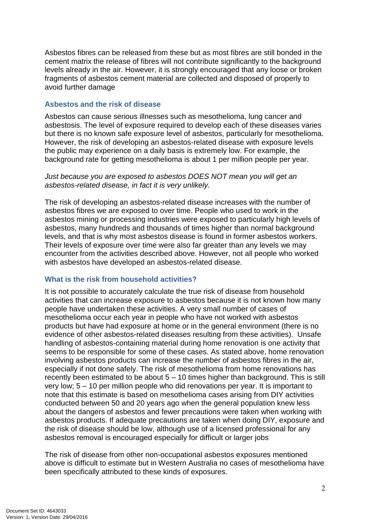Asbestos fibres can be released from these but as most fibres are still bonded in the cement matrix the release of fibres will not contribute significantly to the background levels already in the air. However, it is strongly encouraged that any loose or broken fragments of asbestos cement material are collected and disposed of properly to avoid further damage

#### **Asbestos and the risk of disease**

Asbestos can cause serious illnesses such as mesothelioma, lung cancer and asbestosis. The level of exposure required to develop each of these diseases varies but there is no known safe exposure level of asbestos, particularly for mesothelioma. However, the risk of developing an asbestos-related disease with exposure levels the public may experience on a daily basis is extremely low. For example, the background rate for getting mesothelioma is about 1 per million people per year.

### *Just because you are exposed to asbestos DOES NOT mean you will get an asbestos-related disease, in fact it is very unlikely.*

The risk of developing an asbestos-related disease increases with the number of asbestos fibres we are exposed to over time. People who used to work in the asbestos mining or processing industries were exposed to particularly high levels of asbestos, many hundreds and thousands of times higher than normal background levels, and that is why most asbestos disease is found in former asbestos workers. Their levels of exposure over time were also far greater than any levels we may encounter from the activities described above. However, not all people who worked with asbestos have developed an asbestos-related disease.

#### **What is the risk from household activities?**

It is not possible to accurately calculate the true risk of disease from household activities that can increase exposure to asbestos because it is not known how many people have undertaken these activities. A very small number of cases of mesothelioma occur each year in people who have not worked with asbestos products but have had exposure at home or in the general environment (there is no evidence of other asbestos-related diseases resulting from these activities). Unsafe handling of asbestos-containing material during home renovation is one activity that seems to be responsible for some of these cases. As stated above, home renovation involving asbestos products can increase the number of asbestos fibres in the air, especially if not done safely. The risk of mesothelioma from home renovations has recently been estimated to be about 5 – 10 times higher than background. This is still very low; 5 – 10 per million people who did renovations per year. It is important to note that this estimate is based on mesothelioma cases arising from DIY activities conducted between 50 and 20 years ago when the general population knew less about the dangers of asbestos and fewer precautions were taken when working with asbestos products. If adequate precautions are taken when doing DIY, exposure and the risk of disease should be low, although use of a licensed professional for any asbestos removal is encouraged especially for difficult or larger jobs

The risk of disease from other non-occupational asbestos exposures mentioned above is difficult to estimate but in Western Australia no cases of mesothelioma have been specifically attributed to these kinds of exposures.